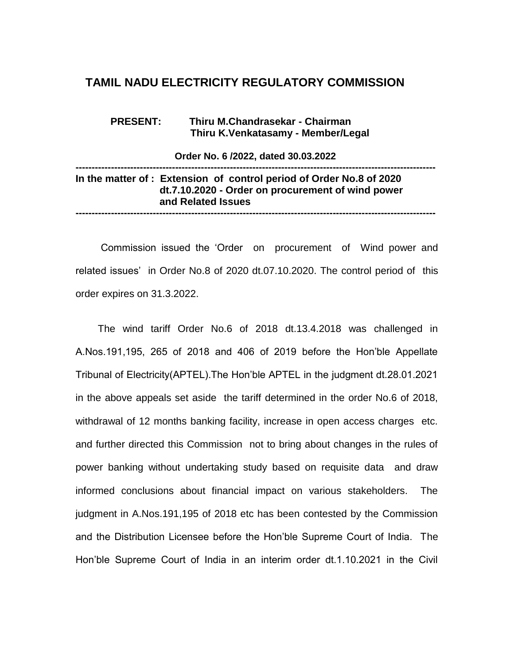## **TAMIL NADU ELECTRICITY REGULATORY COMMISSION**

 **PRESENT: Thiru M.Chandrasekar - Chairman Thiru K.Venkatasamy - Member/Legal** 

 **Order No. 6 /2022, dated 30.03.2022 ---------------------------------------------------------------------------------------------------------------- In the matter of : Extension of control period of Order No.8 of 2020 dt.7.10.2020 - Order on procurement of wind power and Related Issues ----------------------------------------------------------------------------------------------------------------**

 Commission issued the 'Order on procurement of Wind power and related issues' in Order No.8 of 2020 dt.07.10.2020. The control period of this order expires on 31.3.2022.

 The wind tariff Order No.6 of 2018 dt.13.4.2018 was challenged in A.Nos.191,195, 265 of 2018 and 406 of 2019 before the Hon'ble Appellate Tribunal of Electricity(APTEL).The Hon'ble APTEL in the judgment dt.28.01.2021 in the above appeals set aside the tariff determined in the order No.6 of 2018, withdrawal of 12 months banking facility, increase in open access charges etc. and further directed this Commission not to bring about changes in the rules of power banking without undertaking study based on requisite data and draw informed conclusions about financial impact on various stakeholders. The judgment in A.Nos.191,195 of 2018 etc has been contested by the Commission and the Distribution Licensee before the Hon'ble Supreme Court of India. The Hon'ble Supreme Court of India in an interim order dt.1.10.2021 in the Civil